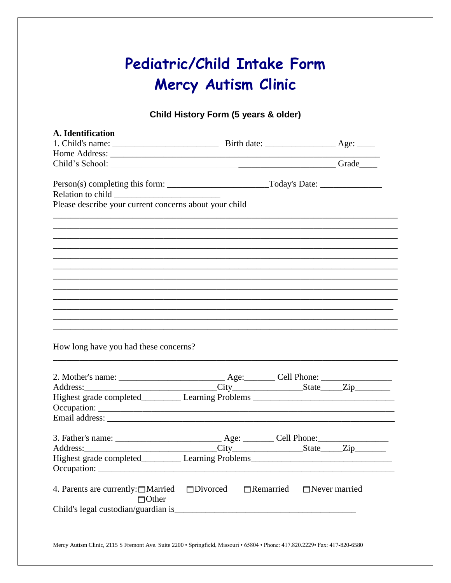# Pediatric/Child Intake Form Mercy Autism Clinic

Child History Form (5 years & older)

| A. Identification                                                                 |                                          |  |
|-----------------------------------------------------------------------------------|------------------------------------------|--|
|                                                                                   |                                          |  |
| Child's School: Child's School: Child's School:                                   |                                          |  |
|                                                                                   |                                          |  |
|                                                                                   |                                          |  |
| Please describe your current concerns about your child                            |                                          |  |
|                                                                                   |                                          |  |
|                                                                                   |                                          |  |
|                                                                                   |                                          |  |
|                                                                                   |                                          |  |
|                                                                                   |                                          |  |
|                                                                                   |                                          |  |
|                                                                                   |                                          |  |
|                                                                                   |                                          |  |
| How long have you had these concerns?                                             |                                          |  |
|                                                                                   |                                          |  |
| Highest grade completed____________ Learning Problems ___________________________ |                                          |  |
|                                                                                   |                                          |  |
|                                                                                   |                                          |  |
|                                                                                   |                                          |  |
|                                                                                   |                                          |  |
|                                                                                   |                                          |  |
| $\Box$ Other                                                                      | $\Box$ Remarried<br>$\Box$ Never married |  |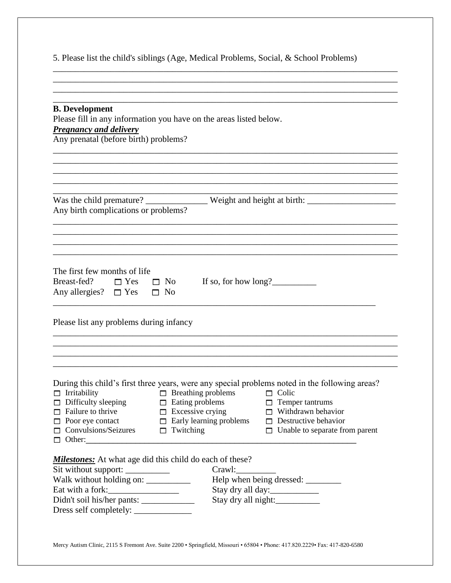5. Please list the child's siblings (Age, Medical Problems, Social, & School Problems)

\_\_\_\_\_\_\_\_\_\_\_\_\_\_\_\_\_\_\_\_\_\_\_\_\_\_\_\_\_\_\_\_\_\_\_\_\_\_\_\_\_\_\_\_\_\_\_\_\_\_\_\_\_\_\_\_\_\_\_\_\_\_\_\_\_\_\_\_\_\_\_\_\_\_\_\_\_\_ \_\_\_\_\_\_\_\_\_\_\_\_\_\_\_\_\_\_\_\_\_\_\_\_\_\_\_\_\_\_\_\_\_\_\_\_\_\_\_\_\_\_\_\_\_\_\_\_\_\_\_\_\_\_\_\_\_\_\_\_\_\_\_\_\_\_\_\_\_\_\_\_\_\_\_\_\_\_

| <b>B.</b> Development<br>Please fill in any information you have on the areas listed below.<br><b>Pregnancy and delivery</b><br>Any prenatal (before birth) problems?                                                                                                    |                                                                                                                                                                                                                                        |
|--------------------------------------------------------------------------------------------------------------------------------------------------------------------------------------------------------------------------------------------------------------------------|----------------------------------------------------------------------------------------------------------------------------------------------------------------------------------------------------------------------------------------|
|                                                                                                                                                                                                                                                                          | Was the child premature? ________________ Weight and height at birth: ______________________________                                                                                                                                   |
| Any birth complications or problems?                                                                                                                                                                                                                                     |                                                                                                                                                                                                                                        |
| The first few months of life<br>Breast-fed? $\Box$ Yes $\Box$ No<br>Any allergies? $\square$ Yes $\square$ No                                                                                                                                                            | If so, for how $long?$                                                                                                                                                                                                                 |
| Please list any problems during infancy                                                                                                                                                                                                                                  |                                                                                                                                                                                                                                        |
| $\Box$ Breathing problems<br>$\Box$ Irritability<br>$\Box$ Difficulty sleeping<br>$\Box$ Eating problems<br>$\Box$ Excessive crying<br>$\Box$ Failure to thrive<br>$\Box$ Early learning problems<br>$\Box$ Poor eye contact<br>Convulsions/Seizures<br>$\Box$ Twitching | During this child's first three years, were any special problems noted in the following areas?<br>$\Box$ Colic<br>$\Box$ Temper tantrums<br>$\Box$ Withdrawn behavior<br>$\Box$ Destructive behavior<br>Unable to separate from parent |
| <b>Milestones:</b> At what age did this child do each of these?<br>Sit without support: ____________<br>Walk without holding on: __________<br>Eat with a fork:                                                                                                          | Crawl:<br>Stay dry all day:<br>Stay dry all night:                                                                                                                                                                                     |

Mercy Autism Clinic, 2115 S Fremont Ave. Suite 2200 • Springfield, Missouri • 65804 • Phone: 417.820.2229• Fax: 417-820-6580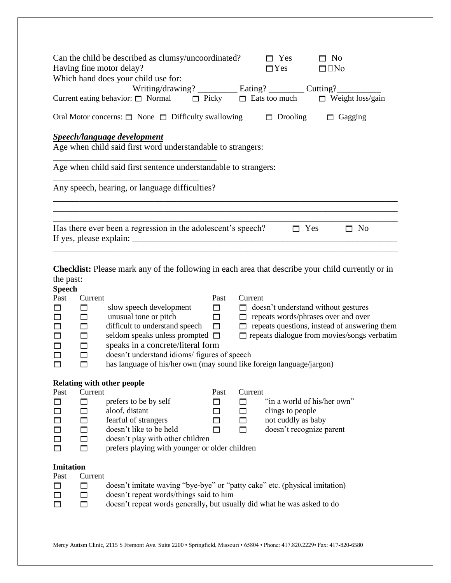| Can the child be described as clumsy/uncoordinated?<br>Having fine motor delay?<br>Which hand does your child use for: | $\Box$ Yes         | $\Box$ No<br>$\square$ Yes $\square$ $\square$ No |
|------------------------------------------------------------------------------------------------------------------------|--------------------|---------------------------------------------------|
| Writing/drawing? ___________ Eating? _________ Cutting? __________                                                     |                    |                                                   |
| Current eating behavior: $\Box$ Normal $\Box$ Picky $\Box$ Eats too much $\Box$ Weight loss/gain                       |                    |                                                   |
| Oral Motor concerns: $\Box$ None $\Box$ Difficulty swallowing                                                          | Drooling<br>$\Box$ | $\Box$ Gagging                                    |
| <b>Speech/language development</b><br>Age when child said first word understandable to strangers:                      |                    |                                                   |
| Age when child said first sentence understandable to strangers:                                                        |                    |                                                   |
| Any speech, hearing, or language difficulties?                                                                         |                    |                                                   |
|                                                                                                                        |                    |                                                   |
| Has there ever been a regression in the adolescent's speech?                                                           |                    | $\Box$ Yes<br>$\Box$ No                           |
|                                                                                                                        |                    |                                                   |
| <b>Checklist:</b> Please mark any of the following in each area that describe your child currently or in               |                    |                                                   |

## the past:

| <b>Speech</b>    |         |                                                                            |        |         |                                                    |
|------------------|---------|----------------------------------------------------------------------------|--------|---------|----------------------------------------------------|
| Past             | Current |                                                                            | Past   | Current |                                                    |
| П                | □       | slow speech development                                                    | П      | п       | doesn't understand without gestures                |
| П                | $\Box$  | unusual tone or pitch                                                      | $\Box$ | П       | repeats words/phrases over and over                |
| П                | $\Box$  | difficult to understand speech                                             | $\Box$ | П       | repeats questions, instead of answering them       |
| П                | $\Box$  | seldom speaks unless prompted                                              | $\Box$ |         | $\Box$ repeats dialogue from movies/songs verbatim |
| П                | $\Box$  | speaks in a concrete/literal form                                          |        |         |                                                    |
| □                | $\Box$  | doesn't understand idioms/ figures of speech                               |        |         |                                                    |
| П                | □       | has language of his/her own (may sound like foreign language/jargon)       |        |         |                                                    |
|                  |         |                                                                            |        |         |                                                    |
|                  |         | <b>Relating with other people</b>                                          |        |         |                                                    |
| Past             | Current |                                                                            | Past   | Current |                                                    |
|                  | □       | prefers to be by self                                                      | ⊓      | П       | "in a world of his/her own"                        |
| П                | $\Box$  | aloof, distant                                                             | $\Box$ | $\Box$  | clings to people                                   |
| П                | $\Box$  | fearful of strangers                                                       | □      | □       | not cuddly as baby                                 |
| $\Box$           | $\Box$  | doesn't like to be held                                                    | п      | $\Box$  | doesn't recognize parent                           |
| □                | $\Box$  | doesn't play with other children                                           |        |         |                                                    |
| П                | $\Box$  | prefers playing with younger or older children                             |        |         |                                                    |
|                  |         |                                                                            |        |         |                                                    |
| <b>Imitation</b> |         |                                                                            |        |         |                                                    |
| Past             | Current |                                                                            |        |         |                                                    |
| П                | П       | doesn't imitate waving "bye-bye" or "patty cake" etc. (physical imitation) |        |         |                                                    |
| П                | $\Box$  | doesn't repeat words/things said to him                                    |        |         |                                                    |
| п                | $\Box$  | doesn't repeat words generally, but usually did what he was asked to do    |        |         |                                                    |
|                  |         |                                                                            |        |         |                                                    |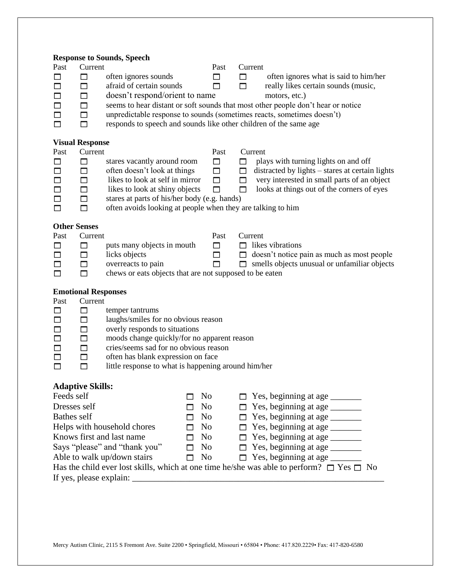|                     |                                       | <b>Response to Sounds, Speech</b>                                 |              |                |        |                                                                                                          |
|---------------------|---------------------------------------|-------------------------------------------------------------------|--------------|----------------|--------|----------------------------------------------------------------------------------------------------------|
| Past                | Current                               |                                                                   |              | Past           |        | Current                                                                                                  |
| П                   | $\Box$                                | often ignores sounds                                              |              | $\Box$         | □      | often ignores what is said to him/her                                                                    |
| П                   | $\Box$                                | afraid of certain sounds                                          |              | □              | □      | really likes certain sounds (music,                                                                      |
| □                   | $\Box$                                | doesn't respond/orient to name                                    |              |                |        | motors, etc.)                                                                                            |
| □                   | $\Box$                                |                                                                   |              |                |        | seems to hear distant or soft sounds that most other people don't hear or notice                         |
| □                   | $\Box$                                |                                                                   |              |                |        | unpredictable response to sounds (sometimes reacts, sometimes doesn't)                                   |
| П                   | $\Box$                                | responds to speech and sounds like other children of the same age |              |                |        |                                                                                                          |
|                     |                                       |                                                                   |              |                |        |                                                                                                          |
| Past                | <b>Visual Response</b><br>Current     |                                                                   |              | Past           |        | Current                                                                                                  |
| □                   | $\Box$                                | stares vacantly around room                                       |              | $\Box$         | $\Box$ | plays with turning lights on and off                                                                     |
| $\Box$              | $\Box$                                | often doesn't look at things                                      |              | $\Box$         | □      | distracted by lights - stares at certain lights                                                          |
| $\Box$              | □                                     | likes to look at self in mirror                                   |              | □              | □      | very interested in small parts of an object                                                              |
| $\Box$              | $\Box$                                | likes to look at shiny objects                                    |              | П              | □      | looks at things out of the corners of eyes                                                               |
| □                   | $\Box$                                | stares at parts of his/her body (e.g. hands)                      |              |                |        |                                                                                                          |
| П                   | $\Box$                                | often avoids looking at people when they are talking to him       |              |                |        |                                                                                                          |
|                     |                                       |                                                                   |              |                |        |                                                                                                          |
| <b>Other Senses</b> |                                       |                                                                   |              |                |        |                                                                                                          |
| Past                | Current                               |                                                                   |              | Past           |        | Current                                                                                                  |
| □                   | $\Box$                                | puts many objects in mouth                                        |              | $\Box$         | П.     | likes vibrations                                                                                         |
| □                   | $\Box$                                | licks objects                                                     |              | □              | $\Box$ | doesn't notice pain as much as most people                                                               |
| $\Box$              | $\Box$                                | overreacts to pain                                                |              | П              | П.     | smells objects unusual or unfamiliar objects                                                             |
| □                   | $\Box$                                | chews or eats objects that are not supposed to be eaten           |              |                |        |                                                                                                          |
|                     |                                       |                                                                   |              |                |        |                                                                                                          |
| Past                | <b>Emotional Responses</b><br>Current |                                                                   |              |                |        |                                                                                                          |
| $\Box$              | □                                     | temper tantrums                                                   |              |                |        |                                                                                                          |
| $\Box$              | $\Box$                                | laughs/smiles for no obvious reason                               |              |                |        |                                                                                                          |
| $\Box$              | $\Box$                                | overly responds to situations                                     |              |                |        |                                                                                                          |
| $\Box$              | $\Box$                                | moods change quickly/for no apparent reason                       |              |                |        |                                                                                                          |
| $\Box$              | $\Box$                                | cries/seems sad for no obvious reason                             |              |                |        |                                                                                                          |
| $\Box$              | $\Box$                                | often has blank expression on face                                |              |                |        |                                                                                                          |
| П                   | $\Box$                                | little response to what is happening around him/her               |              |                |        |                                                                                                          |
|                     |                                       |                                                                   |              |                |        |                                                                                                          |
|                     | <b>Adaptive Skills:</b>               |                                                                   |              |                |        |                                                                                                          |
| Feeds self          |                                       |                                                                   |              | No             |        | Yes, beginning at age _______                                                                            |
| Dresses self        |                                       |                                                                   |              | N <sub>o</sub> |        |                                                                                                          |
| <b>Bathes self</b>  |                                       |                                                                   |              | No             |        | Yes, beginning at age                                                                                    |
|                     |                                       |                                                                   |              |                | П      |                                                                                                          |
|                     |                                       | Helps with household chores                                       | П            | No             |        |                                                                                                          |
|                     |                                       | Knows first and last name                                         | $\mathsf{L}$ | No             |        |                                                                                                          |
|                     |                                       | Says "please" and "thank you"                                     | П            | N <sub>0</sub> | П      |                                                                                                          |
|                     |                                       | Able to walk up/down stairs                                       | П            | N <sub>o</sub> | п      |                                                                                                          |
|                     |                                       |                                                                   |              |                |        | Has the child ever lost skills, which at one time he/she was able to perform? $\square$ Yes $\square$ No |
|                     |                                       |                                                                   |              |                |        |                                                                                                          |
|                     |                                       |                                                                   |              |                |        |                                                                                                          |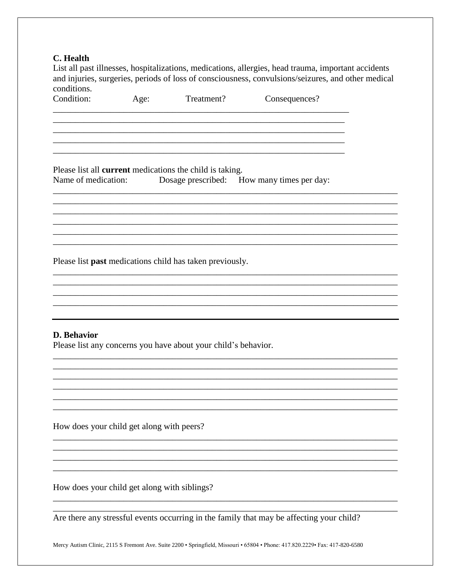### C. Health

List all past illnesses, hospitalizations, medications, allergies, head trauma, important accidents and injuries, surgeries, periods of loss of consciousness, convulsions/seizures, and other medical conditions.

Condition: Treatment? Age: Consequences?

Please list all current medications the child is taking. Name of medication: Dosage prescribed: How many times per day:

Please list past medications child has taken previously.

#### **D.** Behavior

Please list any concerns you have about your child's behavior.

How does your child get along with peers?

How does your child get along with siblings?

Are there any stressful events occurring in the family that may be affecting your child?

Mercy Autism Clinic, 2115 S Fremont Ave. Suite 2200 · Springfield, Missouri · 65804 · Phone: 417.820.2229 · Fax: 417-820-6580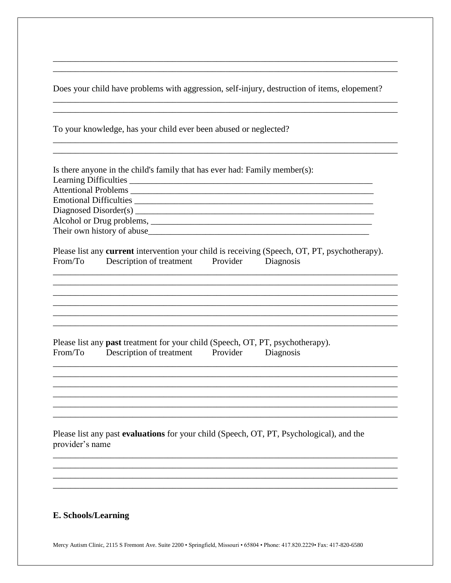Does your child have problems with aggression, self-injury, destruction of items, elopement?

To your knowledge, has your child ever been abused or neglected?

|                 | Is there anyone in the child's family that has ever had: Family member(s):                                                                      |
|-----------------|-------------------------------------------------------------------------------------------------------------------------------------------------|
|                 |                                                                                                                                                 |
|                 |                                                                                                                                                 |
|                 | Emotional Difficulties                                                                                                                          |
|                 |                                                                                                                                                 |
|                 |                                                                                                                                                 |
|                 |                                                                                                                                                 |
| From/To         | Please list any current intervention your child is receiving (Speech, OT, PT, psychotherapy).<br>Description of treatment Provider<br>Diagnosis |
|                 |                                                                                                                                                 |
|                 |                                                                                                                                                 |
|                 |                                                                                                                                                 |
|                 |                                                                                                                                                 |
| From/To         | Please list any <b>past</b> treatment for your child (Speech, OT, PT, psychotherapy).<br>Description of treatment<br>Provider Diagnosis         |
|                 |                                                                                                                                                 |
|                 |                                                                                                                                                 |
|                 |                                                                                                                                                 |
|                 |                                                                                                                                                 |
|                 |                                                                                                                                                 |
| provider's name | Please list any past evaluations for your child (Speech, OT, PT, Psychological), and the                                                        |
|                 |                                                                                                                                                 |
|                 |                                                                                                                                                 |
|                 |                                                                                                                                                 |
|                 |                                                                                                                                                 |

## E. Schools/Learning

Mercy Autism Clinic, 2115 S Fremont Ave. Suite 2200 • Springfield, Missouri • 65804 • Phone: 417.820.2229 • Fax: 417-820-6580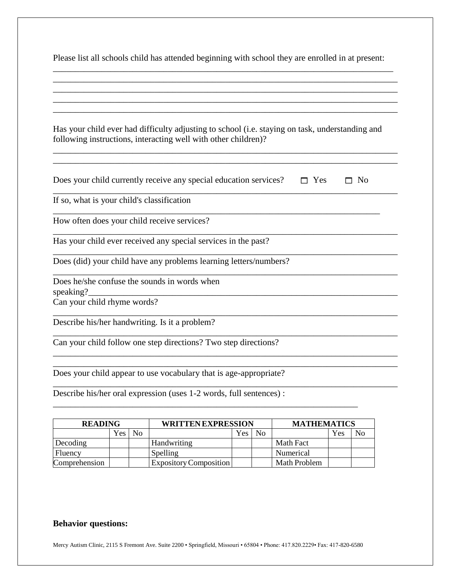| Please list all schools child has attended beginning with school they are enrolled in at present: |  |
|---------------------------------------------------------------------------------------------------|--|
|                                                                                                   |  |

| Has your child ever had difficulty adjusting to school (i.e. staying on task, understanding and<br>following instructions, interacting well with other children)? |
|-------------------------------------------------------------------------------------------------------------------------------------------------------------------|
| Does your child currently receive any special education services?<br>No<br>Yes                                                                                    |
| If so, what is your child's classification                                                                                                                        |
| How often does your child receive services?                                                                                                                       |
| Has your child ever received any special services in the past?                                                                                                    |
| Does (did) your child have any problems learning letters/numbers?                                                                                                 |
| Does he/she confuse the sounds in words when<br>speaking?                                                                                                         |
| Can your child rhyme words?                                                                                                                                       |
| Describe his/her handwriting. Is it a problem?                                                                                                                    |
| Can your child follow one step directions? Two step directions?                                                                                                   |
|                                                                                                                                                                   |
| Does your child appear to use vocabulary that is age-appropriate?                                                                                                 |

Describe his/her oral expression (uses 1-2 words, full sentences) :

| <b>READING</b> |     | <b>WRITTEN EXPRESSION</b> |                        |     | <b>MATHEMATICS</b> |              |     |    |
|----------------|-----|---------------------------|------------------------|-----|--------------------|--------------|-----|----|
|                | Yes | No                        |                        | Yes | N <sub>0</sub>     |              | Yes | No |
| Decoding       |     |                           | Handwriting            |     |                    | Math Fact    |     |    |
| Fluency        |     |                           | Spelling               |     |                    | Numerical    |     |    |
| Comprehension  |     |                           | Expository Composition |     |                    | Math Problem |     |    |

\_\_\_\_\_\_\_\_\_\_\_\_\_\_\_\_\_\_\_\_\_\_\_\_\_\_\_\_\_\_\_\_\_\_\_\_\_\_\_\_\_\_\_\_\_\_\_\_\_\_\_\_\_\_\_\_\_\_\_\_\_\_\_\_\_\_\_\_\_

## **Behavior questions:**

Mercy Autism Clinic, 2115 S Fremont Ave. Suite 2200 • Springfield, Missouri • 65804 • Phone: 417.820.2229• Fax: 417-820-6580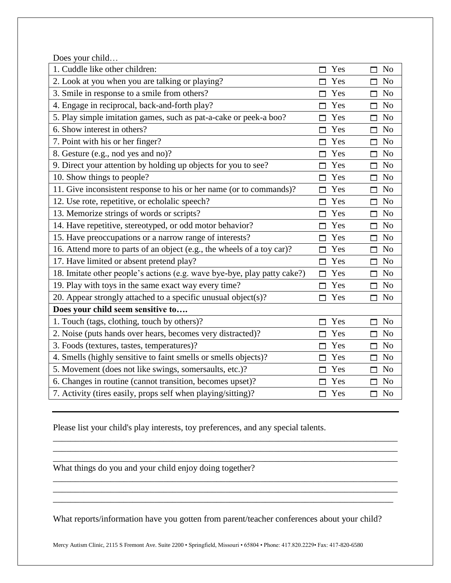Does your child…

| 1. Cuddle like other children:                                           | Yes<br>⊓  | N <sub>o</sub><br>⊓  |
|--------------------------------------------------------------------------|-----------|----------------------|
| 2. Look at you when you are talking or playing?                          | Yes       | N <sub>o</sub><br>П  |
| 3. Smile in response to a smile from others?                             | Yes       | N <sub>o</sub><br>п  |
| 4. Engage in reciprocal, back-and-forth play?                            | Yes       | N <sub>o</sub><br>⊓  |
| 5. Play simple imitation games, such as pat-a-cake or peek-a boo?        | Yes       | N <sub>0</sub><br>П  |
| 6. Show interest in others?                                              | Yes       | N <sub>o</sub><br>п  |
| 7. Point with his or her finger?                                         | Yes       | N <sub>o</sub><br>⊓  |
| 8. Gesture (e.g., nod yes and no)?                                       | Yes       | N <sub>0</sub><br>П  |
| 9. Direct your attention by holding up objects for you to see?           | Yes       | N <sub>o</sub><br>п  |
| 10. Show things to people?                                               | Yes       | N <sub>o</sub><br>п  |
| 11. Give inconsistent response to his or her name (or to commands)?      | Yes       | N <sub>o</sub><br>П  |
| 12. Use rote, repetitive, or echolalic speech?                           | Yes<br>⊓  | N <sub>o</sub><br>п  |
| 13. Memorize strings of words or scripts?                                | Yes<br>⊓  | <b>No</b><br>п       |
| 14. Have repetitive, stereotyped, or odd motor behavior?                 | Yes       | N <sub>o</sub><br>п  |
| 15. Have preoccupations or a narrow range of interests?                  | Yes<br>П  | N <sub>0</sub><br>П  |
| 16. Attend more to parts of an object (e.g., the wheels of a toy car)?   | Yes       | <b>No</b><br>п       |
| 17. Have limited or absent pretend play?                                 | Yes<br>⊓  | No<br>П              |
| 18. Imitate other people's actions (e.g. wave bye-bye, play patty cake?) | Yes<br>П. | $\Box$ No            |
| 19. Play with toys in the same exact way every time?                     | Yes<br>⊓  | $\Box$ No            |
| 20. Appear strongly attached to a specific unusual object(s)?            | Yes<br>М  | No<br>п              |
| Does your child seem sensitive to                                        |           |                      |
| 1. Touch (tags, clothing, touch by others)?                              | Yes       | N <sub>o</sub><br>n  |
| 2. Noise (puts hands over hears, becomes very distracted)?               | Yes       | N <sub>o</sub><br>п  |
| 3. Foods (textures, tastes, temperatures)?                               | Yes       | <b>No</b><br>п       |
| 4. Smells (highly sensitive to faint smells or smells objects)?          | Yes       | <b>No</b><br>п       |
| 5. Movement (does not like swings, somersaults, etc.)?                   | Yes       | N <sub>o</sub><br>П  |
| 6. Changes in routine (cannot transition, becomes upset)?                | Yes       | $\Box$ No            |
| 7. Activity (tires easily, props self when playing/sitting)?             | Yes<br>⊓  | N <sub>o</sub><br>П. |

Please list your child's play interests, toy preferences, and any special talents.

What things do you and your child enjoy doing together?

What reports/information have you gotten from parent/teacher conferences about your child?

\_\_\_\_\_\_\_\_\_\_\_\_\_\_\_\_\_\_\_\_\_\_\_\_\_\_\_\_\_\_\_\_\_\_\_\_\_\_\_\_\_\_\_\_\_\_\_\_\_\_\_\_\_\_\_\_\_\_\_\_\_\_\_\_\_\_\_\_\_\_\_\_\_\_\_\_\_\_ \_\_\_\_\_\_\_\_\_\_\_\_\_\_\_\_\_\_\_\_\_\_\_\_\_\_\_\_\_\_\_\_\_\_\_\_\_\_\_\_\_\_\_\_\_\_\_\_\_\_\_\_\_\_\_\_\_\_\_\_\_\_\_\_\_\_\_\_\_\_\_\_\_\_\_\_\_\_ \_\_\_\_\_\_\_\_\_\_\_\_\_\_\_\_\_\_\_\_\_\_\_\_\_\_\_\_\_\_\_\_\_\_\_\_\_\_\_\_\_\_\_\_\_\_\_\_\_\_\_\_\_\_\_\_\_\_\_\_\_\_\_\_\_\_\_\_\_\_\_\_\_\_\_\_\_\_

\_\_\_\_\_\_\_\_\_\_\_\_\_\_\_\_\_\_\_\_\_\_\_\_\_\_\_\_\_\_\_\_\_\_\_\_\_\_\_\_\_\_\_\_\_\_\_\_\_\_\_\_\_\_\_\_\_\_\_\_\_\_\_\_\_\_\_\_\_\_\_\_\_\_\_\_\_\_ \_\_\_\_\_\_\_\_\_\_\_\_\_\_\_\_\_\_\_\_\_\_\_\_\_\_\_\_\_\_\_\_\_\_\_\_\_\_\_\_\_\_\_\_\_\_\_\_\_\_\_\_\_\_\_\_\_\_\_\_\_\_\_\_\_\_\_\_\_\_\_\_\_\_\_\_\_\_ \_\_\_\_\_\_\_\_\_\_\_\_\_\_\_\_\_\_\_\_\_\_\_\_\_\_\_\_\_\_\_\_\_\_\_\_\_\_\_\_\_\_\_\_\_\_\_\_\_\_\_\_\_\_\_\_\_\_\_\_\_\_\_\_\_\_\_\_\_\_\_\_\_\_\_\_\_

Mercy Autism Clinic, 2115 S Fremont Ave. Suite 2200 • Springfield, Missouri • 65804 • Phone: 417.820.2229• Fax: 417-820-6580